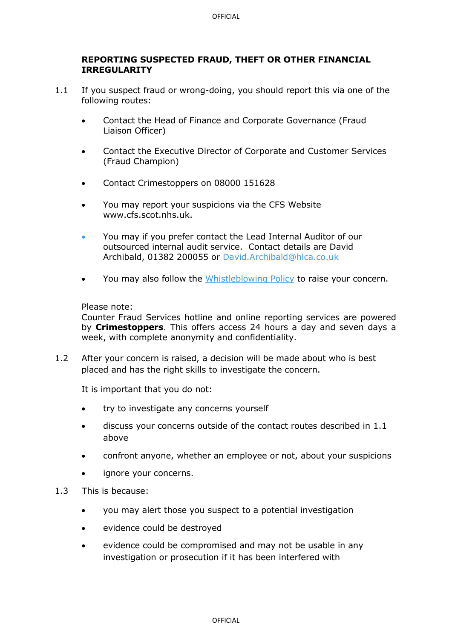## **REPORTING SUSPECTED FRAUD, THEFT OR OTHER FINANCIAL IRREGULARITY**

- 1.1 If you suspect fraud or wrong-doing, you should report this via one of the following routes:
	- Contact the Head of Finance and Corporate Governance (Fraud Liaison Officer)
	- Contact the Executive Director of Corporate and Customer Services (Fraud Champion)
	- Contact Crimestoppers on 08000 151628
	- You may report your suspicions via the CFS Website www.cfs.scot.nhs.uk.
	- You may if you prefer contact the Lead Internal Auditor of our outsourced internal audit service. Contact details are David Archibald, 01382 200055 or [David.Archibald@hlca.co.uk](mailto:David.Archibald@hlca.co.uk)
	- You may also follow the [Whistleblowing Policy](https://careinspectoratecloud.sharepoint.com/sites/Intranet/Library/Forms/AllItems.aspx?id=%2Fsites%2FIntranet%2FLibrary%2FHuman%20Resources%2FCode%20of%20Conduct%2FWhistleblowing%20Guidance%20v1%2E5%2Epdf&parent=%2Fsites%2FIntranet%2FLibrary%2FHuman%20Resources%2FCode%20of%20Conduct) to raise your concern.

## Please note:

Counter Fraud Services hotline and online reporting services are powered by **Crimestoppers**. This offers access 24 hours a day and seven days a week, with complete anonymity and confidentiality.

1.2 After your concern is raised, a decision will be made about who is best placed and has the right skills to investigate the concern.

It is important that you do not:

- try to investigate any concerns yourself
- discuss your concerns outside of the contact routes described in 1.1 above
- confront anyone, whether an employee or not, about your suspicions
- ignore your concerns.
- 1.3 This is because:
	- you may alert those you suspect to a potential investigation
	- evidence could be destroyed
	- evidence could be compromised and may not be usable in any investigation or prosecution if it has been interfered with